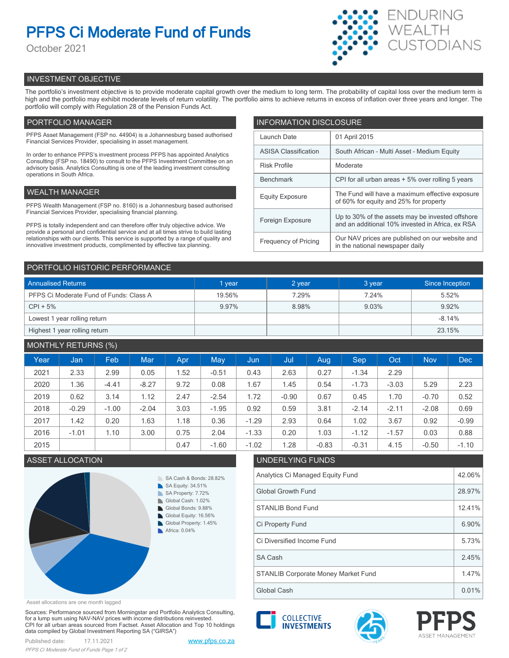# **PFPS Ci Moderate Fund of Funds**

October 2021



## INVESTMENT OBJECTIVE

The portfolio's investment objective is to provide moderate capital growth over the medium to long term. The probability of capital loss over the medium term is high and the portfolio may exhibit moderate levels of return volatility. The portfolio aims to achieve returns in excess of inflation over three years and longer. The portfolio will comply with Regulation 28 of the Pension Funds Act.

## PORTFOLIO MANAGER

PFPS Asset Management (FSP no. 44904) is a Johannesburg based authorised Financial Services Provider, specialising in asset management.

In order to enhance PFPS's investment process PFPS has appointed Analytics Consulting (FSP no. 18490) to consult to the PFPS Investment Committee on an advisory basis. Analytics Consulting is one of the leading investment consulting operations in South Africa.

## WEALTH MANAGER

PFPS Wealth Management (FSP no. 8160) is a Johannesburg based authorised Financial Services Provider, specialising financial planning.

PFPS is totally independent and can therefore offer truly objective advice. We provide a personal and confidential service and at all times strive to build lasting relationships with our clients. This service is supported by a range of quality and innovative investment products, complimented by effective tax planning.

| <b>INFORMATION DISCLOSURE</b> |                                                                                                      |  |  |  |  |
|-------------------------------|------------------------------------------------------------------------------------------------------|--|--|--|--|
| Launch Date                   | 01 April 2015                                                                                        |  |  |  |  |
| <b>ASISA Classification</b>   | South African - Multi Asset - Medium Equity                                                          |  |  |  |  |
| <b>Risk Profile</b>           | Moderate                                                                                             |  |  |  |  |
| <b>Benchmark</b>              | CPI for all urban areas + 5% over rolling 5 years                                                    |  |  |  |  |
| <b>Equity Exposure</b>        | The Fund will have a maximum effective exposure<br>of 60% for equity and 25% for property            |  |  |  |  |
| Foreign Exposure              | Up to 30% of the assets may be invested offshore<br>and an additional 10% invested in Africa, ex RSA |  |  |  |  |
| <b>Frequency of Pricing</b>   | Our NAV prices are published on our website and<br>in the national newspaper daily                   |  |  |  |  |

### PORTFOLIO HISTORIC PERFORMANCE

| <b>Annualised Returns</b>               | 1 year | 2 year | 3 year | Since Inception |
|-----------------------------------------|--------|--------|--------|-----------------|
| PFPS Ci Moderate Fund of Funds: Class A | 19.56% | 7.29%  | 7.24%  | 5.52%           |
| $CPI + 5%$                              | 9.97%  | 8.98%  | 9.03%  | 9.92%           |
| Lowest 1 year rolling return            |        |        |        | $-8.14%$        |
| Highest 1 year rolling return           |        |        |        | 23.15%          |

## MONTHLY RETURNS (%)

| $\frac{1}{2}$ |         |         |            |      |         |         |         |         |         |         |            |            |
|---------------|---------|---------|------------|------|---------|---------|---------|---------|---------|---------|------------|------------|
| Year          | Jan     | Feb     | <b>Mar</b> | Apr  | May     | Jun     | Jul     | Aug.    | Sep     | Oct     | <b>Nov</b> | <b>Dec</b> |
| 2021          | 2.33    | 2.99    | 0.05       | 1.52 | $-0.51$ | 0.43    | 2.63    | 0.27    | $-1.34$ | 2.29    |            |            |
| 2020          | 1.36    | $-4.41$ | $-8.27$    | 9.72 | 0.08    | 1.67    | 1.45    | 0.54    | $-1.73$ | $-3.03$ | 5.29       | 2.23       |
| 2019          | 0.62    | 3.14    | 1.12       | 2.47 | $-2.54$ | 1.72    | $-0.90$ | 0.67    | 0.45    | 1.70    | $-0.70$    | 0.52       |
| 2018          | $-0.29$ | $-1.00$ | $-2.04$    | 3.03 | $-1.95$ | 0.92    | 0.59    | 3.81    | $-2.14$ | $-2.11$ | $-2.08$    | 0.69       |
| 2017          | 1.42    | 0.20    | 1.63       | 1.18 | 0.36    | $-1.29$ | 2.93    | 0.64    | 1.02    | 3.67    | 0.92       | $-0.99$    |
| 2016          | $-1.01$ | 1.10    | 3.00       | 0.75 | 2.04    | $-1.33$ | 0.20    | 1.03    | $-1.12$ | $-1.57$ | 0.03       | 0.88       |
| 2015          |         |         |            | 0.47 | $-1.60$ | $-1.02$ | 1.28    | $-0.83$ | $-0.31$ | 4.15    | $-0.50$    | $-1.10$    |

## ASSET ALLOCATION UNDERLYING FUNDS



## Analytics Ci Managed Equity Fund 42.06% Global Growth Fund 28.97% STANLIB Bond Fund 2008 12.41% Ci Diversified Income Fund 5.73% Ci Property Fund 6.90% STANLIB Corporate Money Market Fund | 1.47% SA Cash 2.45%

Asset allocations are one month lagged

Sources: Performance sourced from Morningstar and Portfolio Analytics Consulting, for a lump sum using NAV-NAV prices with income distributions reinvested. CPI for all urban areas sourced from Factset. Asset Allocation and Top 10 holdings data compiled by Global Investment Reporting SA ("GIRSA")



**COLLECTIVE INVESTMENTS** 

Global Cash 0.01%